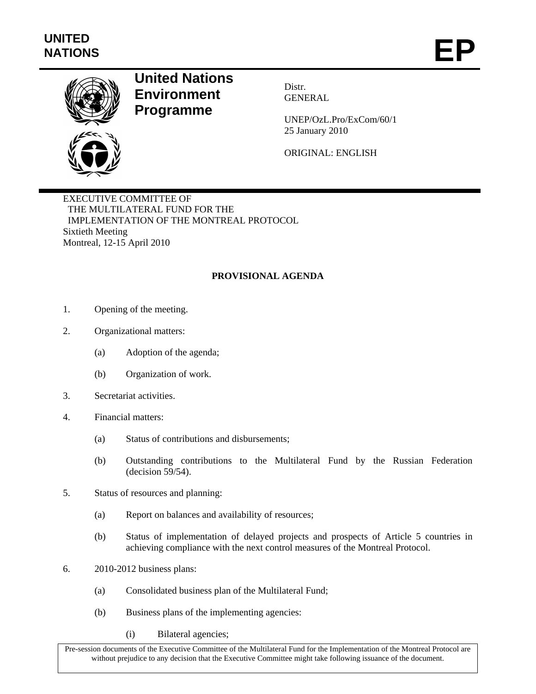

## **United Nations Environment Programme**

Distr. **GENERAL** 

UNEP/OzL.Pro/ExCom/60/1 25 January 2010

ORIGINAL: ENGLISH

EXECUTIVE COMMITTEE OF THE MULTILATERAL FUND FOR THE IMPLEMENTATION OF THE MONTREAL PROTOCOL Sixtieth Meeting Montreal, 12-15 April 2010

## **PROVISIONAL AGENDA**

- 1. Opening of the meeting.
- 2. Organizational matters:
	- (a) Adoption of the agenda;
	- (b) Organization of work.
- 3. Secretariat activities.
- 4. Financial matters:
	- (a) Status of contributions and disbursements;
	- (b) Outstanding contributions to the Multilateral Fund by the Russian Federation (decision 59/54).
- 5. Status of resources and planning:
	- (a) Report on balances and availability of resources;
	- (b) Status of implementation of delayed projects and prospects of Article 5 countries in achieving compliance with the next control measures of the Montreal Protocol.
- 6. 2010-2012 business plans:
	- (a) Consolidated business plan of the Multilateral Fund;
	- (b) Business plans of the implementing agencies:
		- (i) Bilateral agencies;

Pre-session documents of the Executive Committee of the Multilateral Fund for the Implementation of the Montreal Protocol are without prejudice to any decision that the Executive Committee might take following issuance of the document.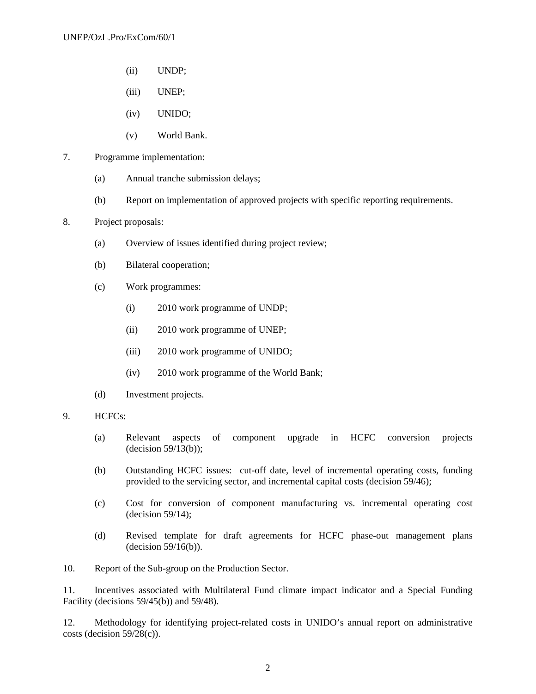- (ii) UNDP;
- (iii) UNEP;
- (iv) UNIDO;
- (v) World Bank.
- 7. Programme implementation:
	- (a) Annual tranche submission delays;
	- (b) Report on implementation of approved projects with specific reporting requirements.
- 8. Project proposals:
	- (a) Overview of issues identified during project review;
	- (b) Bilateral cooperation;
	- (c) Work programmes:
		- (i) 2010 work programme of UNDP;
		- (ii) 2010 work programme of UNEP;
		- (iii) 2010 work programme of UNIDO;
		- (iv) 2010 work programme of the World Bank;
	- (d) Investment projects.
- 9. HCFCs:
	- (a) Relevant aspects of component upgrade in HCFC conversion projects (decision 59/13(b));
	- (b) Outstanding HCFC issues: cut-off date, level of incremental operating costs, funding provided to the servicing sector, and incremental capital costs (decision 59/46);
	- (c) Cost for conversion of component manufacturing vs. incremental operating cost (decision 59/14);
	- (d) Revised template for draft agreements for HCFC phase-out management plans (decision 59/16(b)).

10. Report of the Sub-group on the Production Sector.

11. Incentives associated with Multilateral Fund climate impact indicator and a Special Funding Facility (decisions 59/45(b)) and 59/48).

12. Methodology for identifying project-related costs in UNIDO's annual report on administrative costs (decision 59/28(c)).